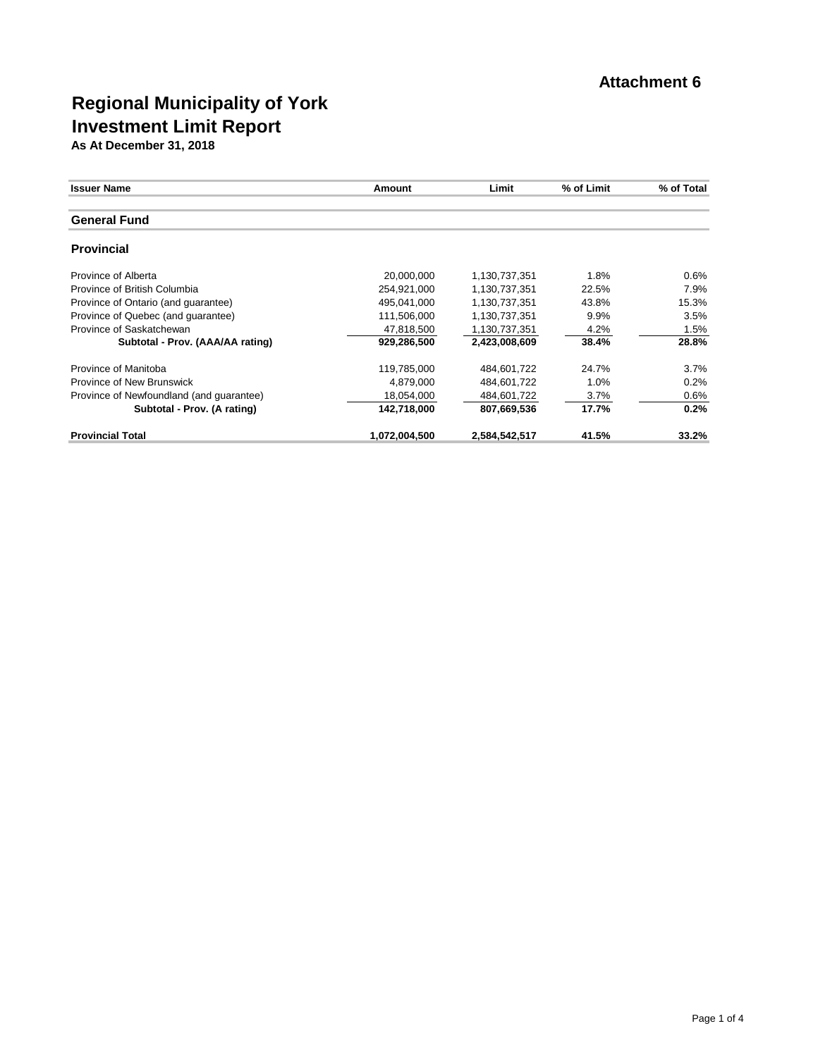| <b>Issuer Name</b>                       | Amount        | Limit         | % of Limit | % of Total |
|------------------------------------------|---------------|---------------|------------|------------|
|                                          |               |               |            |            |
| <b>General Fund</b>                      |               |               |            |            |
| <b>Provincial</b>                        |               |               |            |            |
| Province of Alberta                      | 20,000,000    | 1,130,737,351 | 1.8%       | 0.6%       |
| Province of British Columbia             | 254,921,000   | 1,130,737,351 | 22.5%      | 7.9%       |
| Province of Ontario (and quarantee)      | 495.041.000   | 1,130,737,351 | 43.8%      | 15.3%      |
| Province of Quebec (and quarantee)       | 111,506,000   | 1,130,737,351 | 9.9%       | 3.5%       |
| Province of Saskatchewan                 | 47,818,500    | 1,130,737,351 | 4.2%       | 1.5%       |
| Subtotal - Prov. (AAA/AA rating)         | 929,286,500   | 2.423.008.609 | 38.4%      | 28.8%      |
| Province of Manitoba                     | 119,785,000   | 484,601,722   | 24.7%      | 3.7%       |
| Province of New Brunswick                | 4,879,000     | 484,601,722   | 1.0%       | 0.2%       |
| Province of Newfoundland (and guarantee) | 18,054,000    | 484,601,722   | $3.7\%$    | 0.6%       |
| Subtotal - Prov. (A rating)              | 142,718,000   | 807,669,536   | 17.7%      | 0.2%       |
| <b>Provincial Total</b>                  | 1,072,004,500 | 2,584,542,517 | 41.5%      | 33.2%      |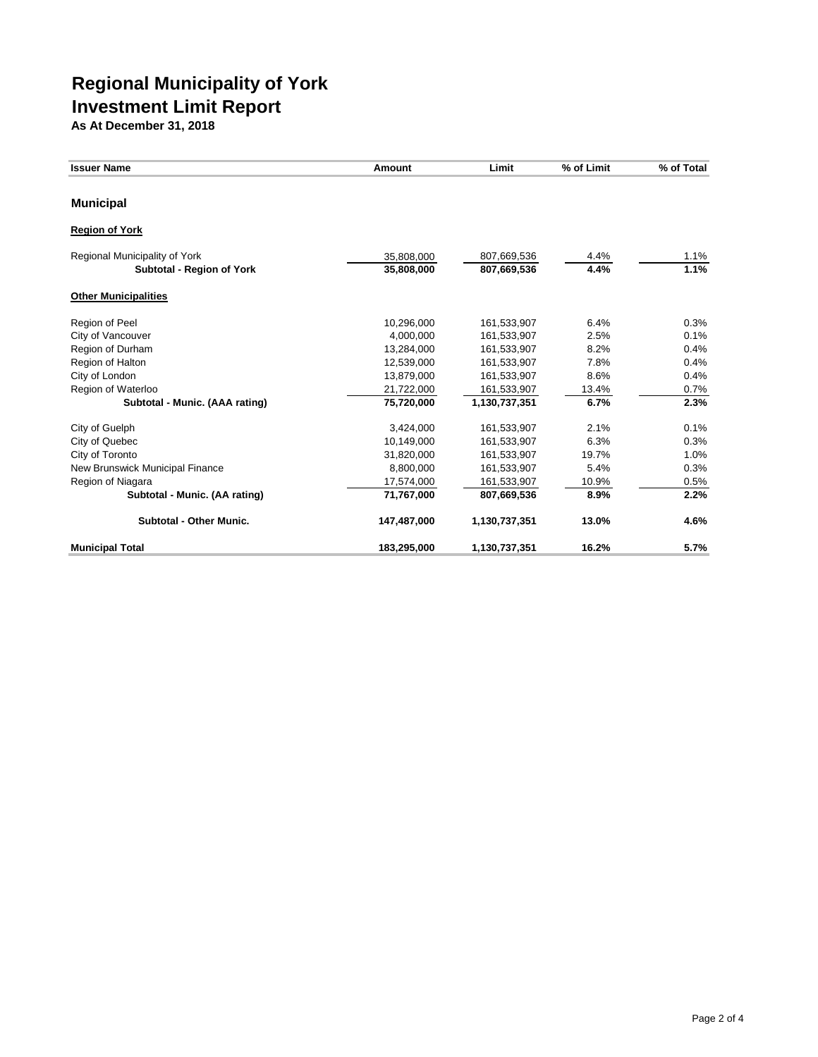| <b>Issuer Name</b>              | Amount      | Limit         | % of Limit | % of Total |
|---------------------------------|-------------|---------------|------------|------------|
| <b>Municipal</b>                |             |               |            |            |
| <b>Region of York</b>           |             |               |            |            |
| Regional Municipality of York   | 35,808,000  | 807,669,536   | 4.4%       | 1.1%       |
| Subtotal - Region of York       | 35,808,000  | 807,669,536   | 4.4%       | 1.1%       |
| <b>Other Municipalities</b>     |             |               |            |            |
| Region of Peel                  | 10,296,000  | 161,533,907   | 6.4%       | 0.3%       |
| City of Vancouver               | 4,000,000   | 161,533,907   | 2.5%       | 0.1%       |
| Region of Durham                | 13,284,000  | 161,533,907   | 8.2%       | 0.4%       |
| Region of Halton                | 12,539,000  | 161,533,907   | 7.8%       | 0.4%       |
| City of London                  | 13,879,000  | 161,533,907   | 8.6%       | 0.4%       |
| Region of Waterloo              | 21,722,000  | 161,533,907   | 13.4%      | 0.7%       |
| Subtotal - Munic. (AAA rating)  | 75,720,000  | 1,130,737,351 | 6.7%       | 2.3%       |
| City of Guelph                  | 3,424,000   | 161,533,907   | 2.1%       | 0.1%       |
| City of Quebec                  | 10,149,000  | 161,533,907   | 6.3%       | 0.3%       |
| City of Toronto                 | 31,820,000  | 161,533,907   | 19.7%      | 1.0%       |
| New Brunswick Municipal Finance | 8,800,000   | 161,533,907   | 5.4%       | 0.3%       |
| Region of Niagara               | 17,574,000  | 161,533,907   | 10.9%      | 0.5%       |
| Subtotal - Munic. (AA rating)   | 71,767,000  | 807,669,536   | 8.9%       | 2.2%       |
| <b>Subtotal - Other Munic.</b>  | 147,487,000 | 1,130,737,351 | 13.0%      | 4.6%       |
| <b>Municipal Total</b>          | 183,295,000 | 1,130,737,351 | 16.2%      | 5.7%       |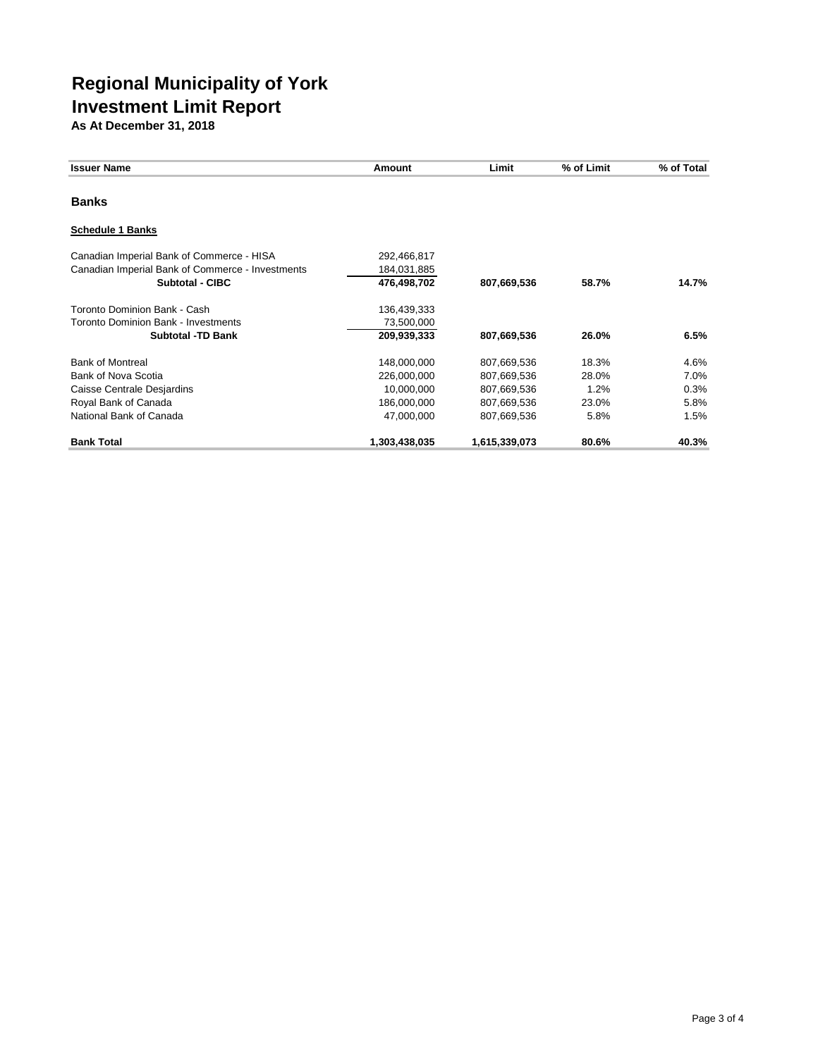| <b>Issuer Name</b>                                                                                                                     | Amount                                                                | Limit                                                                   | % of Limit                              | % of Total                           |
|----------------------------------------------------------------------------------------------------------------------------------------|-----------------------------------------------------------------------|-------------------------------------------------------------------------|-----------------------------------------|--------------------------------------|
| <b>Banks</b>                                                                                                                           |                                                                       |                                                                         |                                         |                                      |
| <b>Schedule 1 Banks</b>                                                                                                                |                                                                       |                                                                         |                                         |                                      |
| Canadian Imperial Bank of Commerce - HISA<br>Canadian Imperial Bank of Commerce - Investments<br>Subtotal - CIBC                       | 292,466,817<br>184,031,885<br>476,498,702                             | 807,669,536                                                             | 58.7%                                   | 14.7%                                |
| Toronto Dominion Bank - Cash<br>Toronto Dominion Bank - Investments<br><b>Subtotal -TD Bank</b>                                        | 136,439,333<br>73,500,000<br>209,939,333                              | 807,669,536                                                             | 26.0%                                   | 6.5%                                 |
| <b>Bank of Montreal</b><br><b>Bank of Nova Scotia</b><br>Caisse Centrale Desjardins<br>Royal Bank of Canada<br>National Bank of Canada | 148,000,000<br>226,000,000<br>10,000,000<br>186,000,000<br>47,000,000 | 807,669,536<br>807,669,536<br>807,669,536<br>807,669,536<br>807,669,536 | 18.3%<br>28.0%<br>1.2%<br>23.0%<br>5.8% | 4.6%<br>7.0%<br>0.3%<br>5.8%<br>1.5% |
| <b>Bank Total</b>                                                                                                                      | 1,303,438,035                                                         | 1,615,339,073                                                           | 80.6%                                   | 40.3%                                |